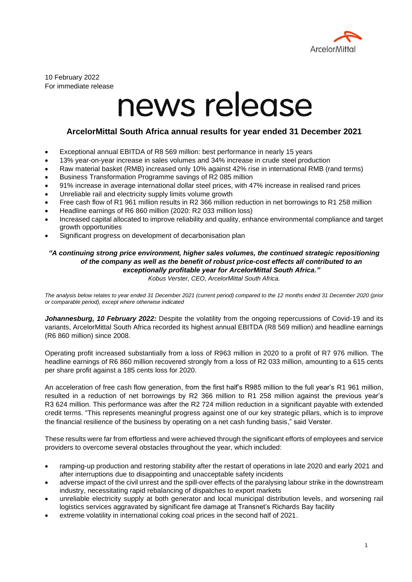

10 February 2022 For immediate release

# news release

## **ArcelorMittal South Africa annual results for year ended 31 December 2021**

- Exceptional annual EBITDA of R8 569 million: best performance in nearly 15 years
- 13% year-on-year increase in sales volumes and 34% increase in crude steel production
- Raw material basket (RMB) increased only 10% against 42% rise in international RMB (rand terms)
- Business Transformation Programme savings of R2 085 million
- 91% increase in average international dollar steel prices, with 47% increase in realised rand prices
- Unreliable rail and electricity supply limits volume growth
- Free cash flow of R1 961 million results in R2 366 million reduction in net borrowings to R1 258 million
- Headline earnings of R6 860 million (2020: R2 033 million loss)
- Increased capital allocated to improve reliability and quality, enhance environmental compliance and target growth opportunities
- Significant progress on development of decarbonisation plan

## *"A continuing strong price environment, higher sales volumes, the continued strategic repositioning of the company as well as the benefit of robust price-cost effects all contributed to an exceptionally profitable year for ArcelorMittal South Africa."*

*Kobus Verster, CEO, ArcelorMittal South Africa.*

*The analysis below relates to year ended 31 December 2021 (current period) compared to the 12 months ended 31 December 2020 (prior or comparable period), except where otherwise indicated*

Johannesburg, 10 February 2022: Despite the volatility from the ongoing repercussions of Covid-19 and its variants, ArcelorMittal South Africa recorded its highest annual EBITDA (R8 569 million) and headline earnings (R6 860 million) since 2008.

Operating profit increased substantially from a loss of R963 million in 2020 to a profit of R7 976 million. The headline earnings of R6 860 million recovered strongly from a loss of R2 033 million, amounting to a 615 cents per share profit against a 185 cents loss for 2020.

An acceleration of free cash flow generation, from the first half's R985 million to the full year's R1 961 million, resulted in a reduction of net borrowings by R2 366 million to R1 258 million against the previous year's R3 624 million. This performance was after the R2 724 million reduction in a significant payable with extended credit terms. "This represents meaningful progress against one of our key strategic pillars, which is to improve the financial resilience of the business by operating on a net cash funding basis," said Verster.

These results were far from effortless and were achieved through the significant efforts of employees and service providers to overcome several obstacles throughout the year, which included:

- ramping-up production and restoring stability after the restart of operations in late 2020 and early 2021 and after interruptions due to disappointing and unacceptable safety incidents
- adverse impact of the civil unrest and the spill-over effects of the paralysing labour strike in the downstream industry, necessitating rapid rebalancing of dispatches to export markets
- unreliable electricity supply at both generator and local municipal distribution levels, and worsening rail logistics services aggravated by significant fire damage at Transnet's Richards Bay facility
- extreme volatility in international coking coal prices in the second half of 2021.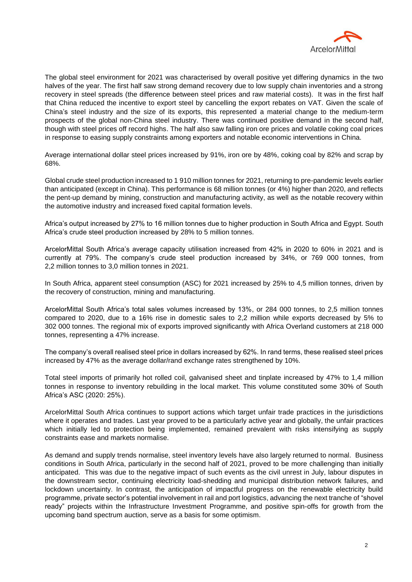

The global steel environment for 2021 was characterised by overall positive yet differing dynamics in the two halves of the year. The first half saw strong demand recovery due to low supply chain inventories and a strong recovery in steel spreads (the difference between steel prices and raw material costs). It was in the first half that China reduced the incentive to export steel by cancelling the export rebates on VAT. Given the scale of China's steel industry and the size of its exports, this represented a material change to the medium‐term prospects of the global non‐China steel industry. There was continued positive demand in the second half, though with steel prices off record highs. The half also saw falling iron ore prices and volatile coking coal prices in response to easing supply constraints among exporters and notable economic interventions in China.

Average international dollar steel prices increased by 91%, iron ore by 48%, coking coal by 82% and scrap by 68%.

Global crude steel production increased to 1 910 million tonnes for 2021, returning to pre-pandemic levels earlier than anticipated (except in China). This performance is 68 million tonnes (or 4%) higher than 2020, and reflects the pent-up demand by mining, construction and manufacturing activity, as well as the notable recovery within the automotive industry and increased fixed capital formation levels.

Africa's output increased by 27% to 16 million tonnes due to higher production in South Africa and Egypt. South Africa's crude steel production increased by 28% to 5 million tonnes.

ArcelorMittal South Africa's average capacity utilisation increased from 42% in 2020 to 60% in 2021 and is currently at 79%. The company's crude steel production increased by 34%, or 769 000 tonnes, from 2,2 million tonnes to 3,0 million tonnes in 2021.

In South Africa, apparent steel consumption (ASC) for 2021 increased by 25% to 4,5 million tonnes, driven by the recovery of construction, mining and manufacturing.

ArcelorMittal South Africa's total sales volumes increased by 13%, or 284 000 tonnes, to 2,5 million tonnes compared to 2020, due to a 16% rise in domestic sales to 2,2 million while exports decreased by 5% to 302 000 tonnes. The regional mix of exports improved significantly with Africa Overland customers at 218 000 tonnes, representing a 47% increase.

The company's overall realised steel price in dollars increased by 62%. In rand terms, these realised steel prices increased by 47% as the average dollar/rand exchange rates strengthened by 10%.

Total steel imports of primarily hot rolled coil, galvanised sheet and tinplate increased by 47% to 1,4 million tonnes in response to inventory rebuilding in the local market. This volume constituted some 30% of South Africa's ASC (2020: 25%).

ArcelorMittal South Africa continues to support actions which target unfair trade practices in the jurisdictions where it operates and trades. Last year proved to be a particularly active year and globally, the unfair practices which initially led to protection being implemented, remained prevalent with risks intensifying as supply constraints ease and markets normalise.

As demand and supply trends normalise, steel inventory levels have also largely returned to normal. Business conditions in South Africa, particularly in the second half of 2021, proved to be more challenging than initially anticipated. This was due to the negative impact of such events as the civil unrest in July, labour disputes in the downstream sector, continuing electricity load-shedding and municipal distribution network failures, and lockdown uncertainty. In contrast, the anticipation of impactful progress on the renewable electricity build programme, private sector's potential involvement in rail and port logistics, advancing the next tranche of "shovel ready" projects within the Infrastructure Investment Programme, and positive spin-offs for growth from the upcoming band spectrum auction, serve as a basis for some optimism.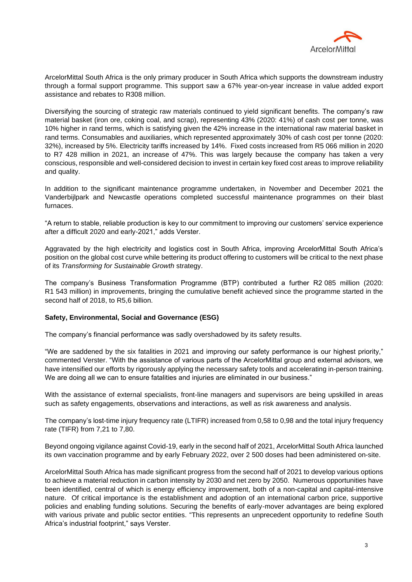

ArcelorMittal South Africa is the only primary producer in South Africa which supports the downstream industry through a formal support programme. This support saw a 67% year-on-year increase in value added export assistance and rebates to R308 million.

Diversifying the sourcing of strategic raw materials continued to yield significant benefits. The company's raw material basket (iron ore, coking coal, and scrap), representing 43% (2020: 41%) of cash cost per tonne, was 10% higher in rand terms, which is satisfying given the 42% increase in the international raw material basket in rand terms. Consumables and auxiliaries, which represented approximately 30% of cash cost per tonne (2020: 32%), increased by 5%. Electricity tariffs increased by 14%. Fixed costs increased from R5 066 million in 2020 to R7 428 million in 2021, an increase of 47%. This was largely because the company has taken a very conscious, responsible and well-considered decision to invest in certain key fixed cost areas to improve reliability and quality.

In addition to the significant maintenance programme undertaken, in November and December 2021 the Vanderbijlpark and Newcastle operations completed successful maintenance programmes on their blast furnaces.

"A return to stable, reliable production is key to our commitment to improving our customers' service experience after a difficult 2020 and early-2021," adds Verster.

Aggravated by the high electricity and logistics cost in South Africa, improving ArcelorMittal South Africa's position on the global cost curve while bettering its product offering to customers will be critical to the next phase of its *Transforming for Sustainable Growth* strategy.

The company's Business Transformation Programme (BTP) contributed a further R2 085 million (2020: R1 543 million) in improvements, bringing the cumulative benefit achieved since the programme started in the second half of 2018, to R5,6 billion.

#### **Safety, Environmental, Social and Governance (ESG)**

The company's financial performance was sadly overshadowed by its safety results.

"We are saddened by the six fatalities in 2021 and improving our safety performance is our highest priority," commented Verster. "With the assistance of various parts of the ArcelorMittal group and external advisors, we have intensified our efforts by rigorously applying the necessary safety tools and accelerating in‐person training. We are doing all we can to ensure fatalities and injuries are eliminated in our business."

With the assistance of external specialists, front-line managers and supervisors are being upskilled in areas such as safety engagements, observations and interactions, as well as risk awareness and analysis.

The company's lost-time injury frequency rate (LTIFR) increased from 0,58 to 0,98 and the total injury frequency rate (TIFR) from 7,21 to 7,80.

Beyond ongoing vigilance against Covid-19, early in the second half of 2021, ArcelorMittal South Africa launched its own vaccination programme and by early February 2022, over 2 500 doses had been administered on-site.

ArcelorMittal South Africa has made significant progress from the second half of 2021 to develop various options to achieve a material reduction in carbon intensity by 2030 and net zero by 2050. Numerous opportunities have been identified, central of which is energy efficiency improvement, both of a non-capital and capital-intensive nature. Of critical importance is the establishment and adoption of an international carbon price, supportive policies and enabling funding solutions. Securing the benefits of early-mover advantages are being explored with various private and public sector entities. "This represents an unprecedent opportunity to redefine South Africa's industrial footprint," says Verster.